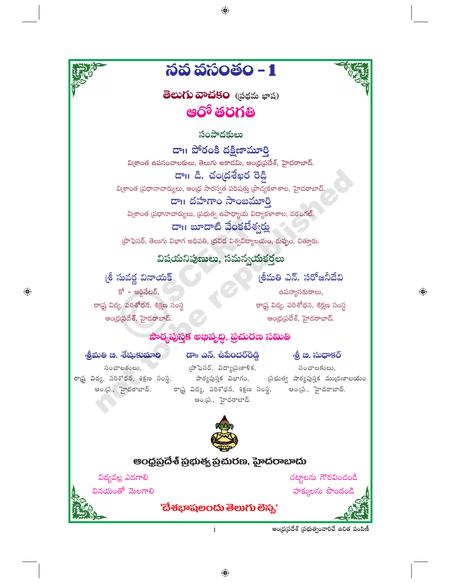

⊕

 $\mathbf{i}$ 

ఆంధ్రప్రదేశ్ (పభుత్వంవారిచే ఉచిత పంపిణీ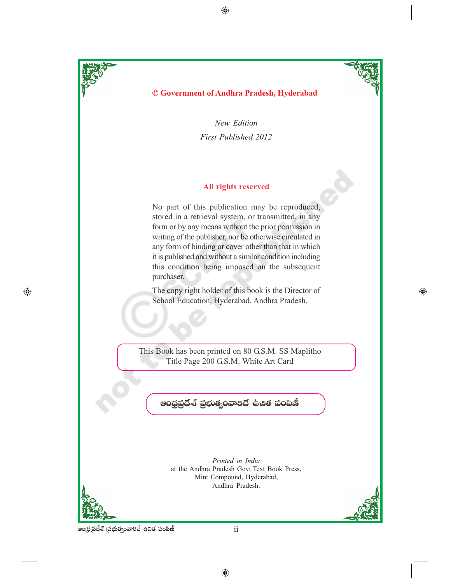

 $\bigoplus$ 

⊕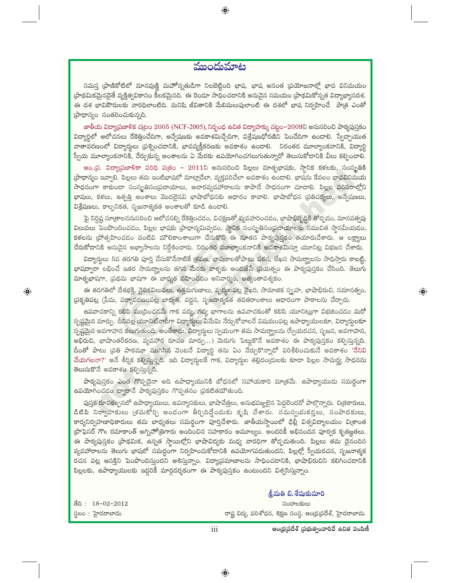### ముందుమాట

⊕

సమస్త [పాణికోటిలో మానవుణ్ణి మహోన్నతుడిగా నిలబెట్టింది భాష. భాష అనంత [పయోజనాల్లో భావ వినిమయం ్రపాథమికమైనదైతే వ్యక్తిత్వవికాసం కీలకమైనది. ఈ రెండూ సాధించడానికి అనువైన సమయం (ప్రాథమికోన్నత విద్యాభ్యాసదశ. ఈ దశ భావిపౌరులకు వారధిలాంటిది. మనిషి జీవితానికి మేలిమలుపులాంటి ఈ దశలో భాష నిర్వహించే పాత్ర ఎంతో (పాధాన్యం సంతరించుకున్నది.

జాతీయ విద్యాప్రణాళిక చ(టం 2005 (NCF-2005), నిర్భంధ ఉచిత విద్యాహక్కు చట్టం−2009ని అనుసరించి పాఠ్యపుస్తకం విద్యార్థిలో ఆలోచనలు రేకెత్తించేదిగా, అన్వేషణకు అవకాశమిచ్చేదిగా, విశ్లేషణధోరణిని పెంచేదిగా ఉండాలి. స్వేచ్చాయుత వాతావరణంలో విద్యార్శలు (పర్నించదానికి, భావవ్యక్తీకరణకు అవకాశం ఉందాలి. నిరంతర మూల్యాంకనానికి, విద్యార్థి స్వీయ మూల్యాంకనానికి, నేర్చుకున్న అంశాలను ఏ మేరకు ఉపయోగించగలుగుతున్నారో తెలుసుకోదానికి వీలు కల్పించాలి.

అం.[ప. విద్యాప్రణాళికా పరిధి ప(తం – 2011ని అనుసరించి పిల్లలు మాతృభాషకు, స్థానిక కళలకు, సంస్థ్రతికి ప్రాధాన్యం ఇవ్వాలి. పిల్లలు తమ ఇంటిభాషలో మాట్లాడేలా, వ్యక్తపరిచేలా అవకాశం ఉండాలి. భాషను కేవలం భావవినిమయ సాధనంగా కాకుండా సంస్థ్రతిసంప్రదాయాలు, ఆచారవ్యవహారాలను కాపాడే సాధనంగా చూడాలి. పిల్లల పరిసరాల్లోని భాషలు, కళలు, ఉత్పత్తి అంశాలు మొదలైనవి భాషాబోధనకు ఆధారం కావాలి. భాషాబోధన (ప్రతిచర్యలు, అన్వేషణలు, విశ్లేషణలు, కాల్పనికత, సృజనాత్మకత అంశాలతో కూడి ఉండాలి.

పై నిర్దిష్ట సూత్రాలననుసరించి ఆలోచనల్ని రేకెత్తించడం, విచక్షణతో వ్యవహరించడం, భాషాభివృద్ధికి తోద్చడం, మానవత్వపు విలువలు పెంపొందించడం, పిల్లల భాషకు (పాధాన్యమివ్వడం, స్థానిక సంస్థ్రతిసం(ప్రదాయాలకు సముచిత స్థానమీయడం, కళలను [పోత్సహించడం వంటివి మౌలికాంశాలుగా చేసుకొని ఈ నూతన పాఠ్యపుస్తకం తయారుచేశారు. ఆ లక్ష్యాలు చేరుకోదానికి అనువైన అభ్యాసాలను నిర్దేశించారు. నిరంతర మూల్యాంకనానికి అవకాశమిస్తూ యూనిట్ల విభజన చేశారు.

విద్యార్థులు 5వ తరగతి పూర్తి చేసుకొనేనాటికే (తవణ, భాషణాలతోపాటు పఠన, లేఖన సామర్థ్యాలను సాధిస్తారు కాబట్టి, భాషద్వారా లభించే ఇతర సామర్థ్యాలను తగిన మేరకు వాళ్ళకు అందజేసే (పయత్నం ఈ పాఠ్యపుస్తకం చేసింది. తెలుగు మాతృభాషగా, ప్రథమ భాషగా ఈ బాధ్యత వహించడం అనివార్యం, అత్యంతావశ్యకం.

ఈ తరగతిలో దేశభక్తి, నైతికవిలువలు, ఉత్తమగుణాలు, వృద్ధులపట్ల వైఖరి, సామాజిక స్పృహ, భాషాభిరుచి, సమానత్వం, ప్రకృతిపట్ల (పేమ, పర్యావరణంపట్ల బాధ్యత, వర్లన, సృజనాత్మకత తదితరాంశాలు ఆధారంగా పాఠాలను చేర్చారు.

 $\textcolor{black}{\textcolor{black}{\bigcirc}}$ 

ఉపవాచకాన్ని కలిపి ముద్రించడమే గాక పద్య, గద్య భాగాలను ఉపవాచకంతో కలిపి యూనిట్లుగా విభజించడం మరో స్పష్టమైన మార్పు. దీనివల్ల యూనిట్వారీగా విద్యార్థులు ఏమేమి నేర్చుకోవాలనే విషయంపట్ల ఉపాధ్యాయులకూ, విద్యార్థులకూ స్పష్టమైన అవగాహన కలుగుతుంది. అంతేకాదు, విద్యార్థులు స్వయంగా తమ సామర్థ్యాలను (స్వీయరచన, సృజన, అవగాహన, అభిరుచి, భాషాంతరీకరణ, వ్యవహార రూపం మార్పు...) మెరుగు పెట్టుకొనే అవకాశం ఈ పాఠ్యపుస్తకం కల్పిస్తున్నది. దీంతో పాటు (పతి పాఠమూ ముగిసిన వెంటనే విద్యార్థి తను ఏం నేర్చుకొన్నాడో పరిశీలించుకునే అవకాశం 'నేనివి చేయగలనా?' అనే శీర్షిక కల్పిస్తున్నది. ఇది విద్యార్థులకే గాక, విద్యార్థుల తల్లిదం(దులకు కూడా పిల్లల సామర్థ్య సాధనను తెలుసుకొనే అవకాశం కల్పిస్తున్నది.

పాఠ్యపుస్తకం ఎంత గొప్పదైనా అది ఉపాధ్యాయునికి బోధనలో సహాయకారి మాత్రమే. ఉపాధ్యాయుడు సమర్థంగా ఉపయోగించడం ద్వారానే పాఠ్యపుస్తకం గొప్పతనం చ్రకటితమౌతుంది.

పుస్తక రూపకల్పనలో ఉపాధ్యాయులు, ఉపన్యాసకులు, భాషావేత్తలు, అనుభవజ్ఞులైన పెద్దలెందరో పాల్గొన్నారు. చి[తకారులు, డిటిపి నిర్వాహకులు (శమకోర్చి అందంగా తీర్చిదిద్దేందుకు కృషి చేశారు. సమన్వయకర్తలు, సంపాదకులు, కార్యనిర్వహణాధికారులు తమ బాధ్యతలు సమర్థంగా పూర్తిచేశారు. జాతీయస్థాయిలో ఢిల్లీ విశ్వవిద్యాలయం వి[శాంత ్టపొఫెసర్ గౌ॥ రమాకాంత్ అగ్నిహోత్రిగారు అందించిన సహకారం అమూల్యం. అందరికీ అభినందన పూర్వక కృతజ్ఞతలు. ఈ పాఠ్యపుస్తకం (పాథమిక, ఉన్నత స్థాయిల్లోని భాషావిద్యకు మధ్య వారధిగా తోడ్చదుతుంది. పిల్లలు తమ దైనందిన వ్యవహారాలను తెలుగు భాషలో సమర్థంగా నిర్వహించుకోడానికి ఉపయోగపదుతుందని, పిల్లల్లో స్వీయరచన, సృజనాత్మక రచన పట్ల ఆసక్తిని పెంపొందిస్తుందని ఆశిస్తున్నాం. విద్యాప్రమాణాలను సాధించడానికి, భాషాభిరుచిని కలిగించడానికి పిల్లలకు, ఉపాధ్యాయులకు ఇద్దరికీ మార్గదర్శకంగా ఈ పాఠ్యపుస్తకం ఉంటుందని విశ్వసిస్తున్నాం.

|                    | ొంమతి బి. శషుకుమారి                                           |  |  |
|--------------------|---------------------------------------------------------------|--|--|
| මියි : 18-02-2012  | సంచాలకులు                                                     |  |  |
| స్థలం : హైదరాబాదు. | రాష్ట్ర విద్య, పరిశోధన, శిక్షణ సంస్థ, ఆంధ్ర(పదేశ్, హైదరాబాదు. |  |  |

ఆంధ్రప్రదేశ్ (పభుత్వంవారిచే ఉచిత పంపిణీ

 $8.400 \times 10^{-4}$ 

⊕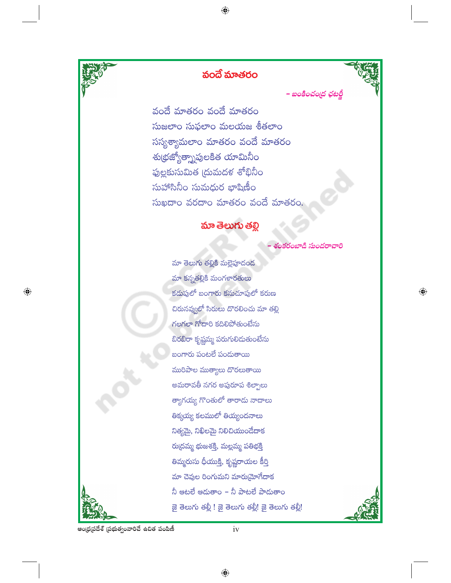

# వందే మాతరం

⊕



 $\bigoplus$ 

– బంకించంద్ర ఛటర్జీ

వందే మాతరం వందే మాతరం సుజలాం సుఫలాం మలయజ శీతలాం సస్యశ్యామలాం మాతరం వందే మాతరం శు(భజ్యోత్సాపులకిత యామినీ<mark>ం</mark> ఫుల్లకుసుమిత (దుమదళ శోభినీం సుహాసినీం సుమధుర భాషిణీం సుఖదాం వరదాం మాతరం వందే మాతరం.

## మా తెలుగు తల్లి

ంకరంబాడి సుందరా

మా తెలుగు తల్లికి మల్లెపూదంద మా కన్నతల్లికి మంగళారతులు కడుపులో బంగారు కనుచూపులో కరుణ చిరునవ్వలో సిరులు దొరలించు మా తల్లి గలగలా గోదారి కదిలిపోతుంటేను బిరబిరా కృష్ణమ్మ పరుగులిదుతుంటేను బంగారు పంటలే పందుతాయి మురిపాల ముత్యాలు దొరలుతాయి అమరావతీ నగర అపురూప శిల్పాలు త్యాగయ్య గొంతులో తారాదు నాదాలు తిక్కయ్య కలములో తియ్యందనాలు నిత్యమై, నిఖిలమై నిలిచియుండేదాక రు(దమ్మ భుజశక్తి, మల్లమ్మ పతిభక్తి తిమ్మరుసు ధీయుక్తి, కృష్ణరాయల కీర్తి మా చెవుల రింగుమని మారుమ్రోగేదాక నీ ఆటలే ఆదుతాం – నీ పాటలే పాదుతాం జై తెలుగు తల్లీ ! జై తెలుగు తల్లీ! జై తెలుగు తల్లీ!



 $iv$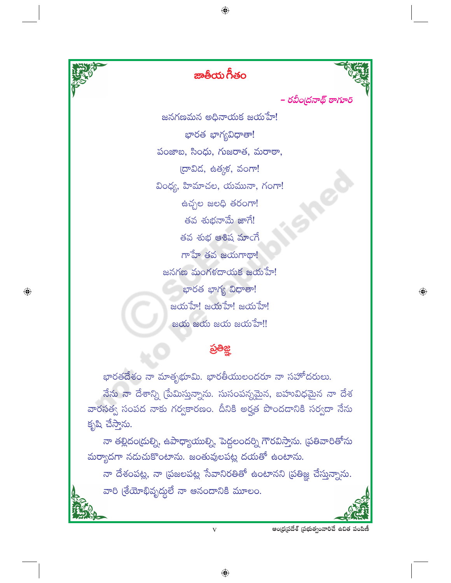

 $\bigoplus$ 

ఆంధ్రప్రదేశ్ (పభుత్వంవారిచే ఉచిత పంపిణీ

 $\bigoplus$ 

 $\overline{\mathbf{V}}$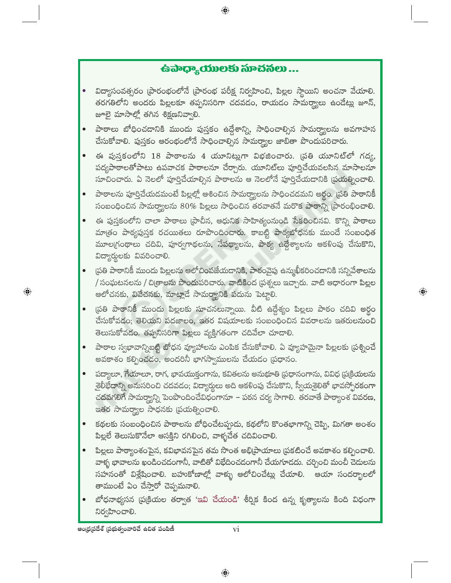# $\hat{\mathbf{G}}$ බాధ్యాయులకు సూచనలు ...

 $\bigoplus$ 

- విద్యాసంవత్సరం (పారంభంలోనే (పారంభ పరీక్ష నిర్వహించి, పిల్లల స్థాయిని అంచనా వేయాలి. తరగతిలోని అందరు పిల్లలకూ తప్పనిసరిగా చదవడం, రాయడం సామర్థ్యాలు ఉండేట్లు జూన్, జూలై మాసాల్లో తగిన శిక్షణనివ్వాలి.
- పాఠాలు బోధించదానికి ముందు పుస్తకం ఉద్దేశాన్ని, సాధించాల్సిన సామర్థ్యాలను అవగాహన చేసుకోవాలి. పుస్తకం ఆరంభంలోనే సాధించాల్సిన సామర్థ్యాల జాబితా పొందుపరిచారు.
- ఈ పుస్తకంలోని 18 పాఠాలను 4 యూనిట్లుగా విభజించారు. (పతి యూనిట్లో గద్య, పద్యపాఠాలతోపాటు ఉపవాచక పాఠాలనూ చేర్చారు. యూనిట్లు పూర్తిచేయవలసిన మాసాలనూ సూచించారు. ఏ నెలలో పూర్తిచేయాల్సిన పాఠాలను ఆ నెలలోనే పూర్తిచేయడానికి ప్రయత్నించాలి.
- $\bullet$  పాఠాలను పూర్తిచేయడమంటే పిల్లల్లో ఆశించిన సామర్థ్యాలను సాధించడమని అర్థం. [పతి పాఠానికీ సంబంధించిన సామర్థ్యాలను 80% పిల్లలు సాధించిన తరవాతనే మరొక పాఠాన్ని ప్రారంభించాలి.
- ఈ పుస్తకంలోని చాలా పాఠాలు (పాచీన, ఆధునిక సాహిత్యంనుండి సేకరించినవి. కొన్ని పాఠాలు మాత్రం పాఠ్యపుస్తక రచయితలు రూపొందించారు. కాబట్టి పాఠ్యబోధనకు ముందే సంబంధిత మూలగ్రంథాలు చదివి, పూర్వగాథలను, నేపథ్యాలను, పాఠ్య ఉద్దేశ్యాలను ఆకళింపు చేసుకొని, విద్యార్థులకు వివరించాలి.
- (పతి పాఠానికీ ముందు పిల్లలను ఆలోచింపజేయడానికి, పాఠంవైపు ఉన్ముఖీకరించడానికి సన్నివేశాలను / సంఘటనలను / చి(తాలను పొందుపరిచారు. వాటికింద (పశ్నలు ఇచ్చారు. వాటి ఆధారంగా పిల్లల ఆలోచనకు, వివేచనకు, మాట్లాడే సామర్థ్యానికి పదుసు పెట్టాలి.

 $\textcolor{black}{\textcolor{black}{\bigoplus}}$ 

- [పతి పాఠానికీ ముందు పిల్లలకు సూచనలున్నాయి. వీటి ఉద్దేశ్యం పిల్లలు పాఠం చదివి అర్థం చేసుకోవడం; తెలియని పదజాలం, ఇతర విషయాలకు సంబంధించిన వివరాలను ఇతరులనుంచి తెలుసుకోవడం. తప్పనిసరిగా పిల్లలు వ్యక్తిగతంగా చదివేలా చూడాలి.
- పాఠాల స్వభావాన్నిబట్టి బోధన వ్యూహాలను ఎంపిక చేసుకోవాలి. ఏ వ్యూహమైనా పిల్లలకు ప్రశ్నించే అవకాశం కల్పించడం, అందరినీ భాగస్వాములను చేయడం (పధానం.
- పద్యాలూ, గేయాలూ, రాగ, భావయుక్తంగాను, కవితలను అనుభూతి (పధానంగాను, వివిధ (పక్రియలను శైలీభేదాన్ని అనుసరించి చదవడం; విద్యార్థులు అది ఆకళింపు చేసుకొని, స్వీయశైలితో భావస్పోరకంగా చదవగలిగే సామర్థ్యాన్ని పెంపొందించేవిధంగానూ – పఠన చర్య సాగాలి. తరవాతే పాఠ్యాంశ వివరణ, ఇతర సామర్థ్యాల సాధనకు (పయత్నించాలి.
- $\bullet$  కథలకు సంబంధించిన పాఠాలను బోధించేటప్పుడు, కథలోని కొంతభాగాన్ని చెప్పి, మిగతా అంశం పిల్లలే తెలుసుకొనేలా ఆసక్తిని రగిలించి, వాళ్ళచేత చదివించాలి.
- పిల్లలు పాఠ్యాంశంపైన, కవిభావనపైన తమ సొంత అభి[ప్రాయాలు [పకటించే అవకాశం కల్పించాలి. వాళ్ళ భావాలను ఖండించడంగానీ, వాటితో విభేదించడంగానీ చేయగూడదు. చర్చించి మంచీ చెదులను సహనంతో విశ్లేషించాలి. బహుకోణాల్లో వాళ్ళు ఆలోచించేట్లు చేయాలి. ఆయా సందర్భాలలో తాముంటే ఏం చేస్తారో చెప్పమనాలి.
- బోధనాభ్యసన (ప(కియల తర్వాత 'ఇవి చేయండి' శీర్విక కింద ఉన్న కృత్యాలను కింది విధంగా నిర్వహించాలి.

 $\textcolor{black}{\textcolor{black}{\bigcirc}}$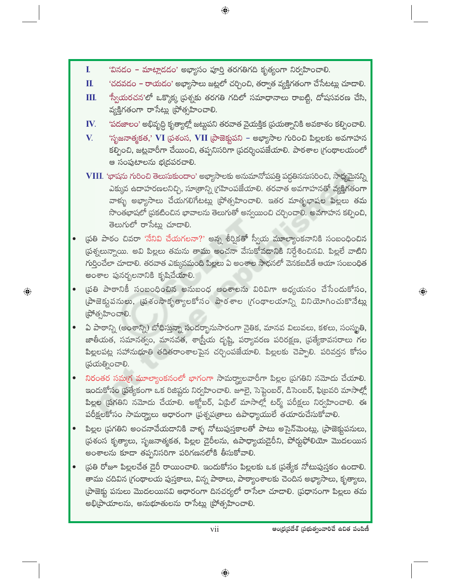'వినడం - మాట్లాడడం' అభ్యాసం పూర్తి తరగతిగది కృత్యంగా నిర్వహించాలి.

 $\mathbf{I}$ .

П.

 $\textcolor{black}{\textcolor{black}{\bigcirc}}$ 

'చదవడం – రాయడం' అభ్యాసాలు జట్లలో చర్చించి, తర్వాత వ్యక్తిగతంగా చేసేటట్లు చూడాలి. "స్వీయరచన'లో ఒక్కొక్క ప్రశ్నకు తరగతి గదిలో సమాధానాలు రాబట్టి, దోషసవరణ చేసి, Ш. వ్యక్తిగతంగా రాసేట్లు (పోత్సహించాలి. 'పదజాలం' అభివృద్ధి కృత్యాల్లో జట్టుపని తరవాత వైయక్తిక (పయత్నానికి అవకాశం కల్పించాలి. IV. 'సృజనాత్మకత,' VI (పశంస, VII (పాజెక్టుపని – అభ్యాసాల గురించి పిల్లలకు అవగాహన V. కల్పించి, జట్లవారీగా చేయించి, తప్పనిసరిగా (పదర్శింపజేయాలి. పాఠశాల (గంథాలయంలో ఆ సంపుటాలను భ(దపరచాలి. VIII. 'భాషను గురించి తెలుసుకుందాం' అభ్యాసాలకు అనుమానోపపత్తి పద్ధతిననుసరించి, సాధ్యమైనన్ని ఎక్కువ ఉదాహరణలనిచ్చి, సూత్రాన్ని గ్రహింపజేయాలి. తరవాత అవగాహనతో వ్యక్తిగతంగా వాళ్ళు అభ్యాసాలు చేయగలిగేటట్లు (పోత్సహించాలి. ఇతర మాతృభాషల పిల్లలు తమ సొంతభాషలో ద్రకటించిన భావాలను తెలుగుతో అన్వయించి చర్చించాలి. అవగాహన కల్పించి, తెలుగులో రాసేట్లు చూడాలి. స్రతి పాఠం చివరా 'నేనివి చేయగలనా?' అన్న శీర్షికతో స్వీయ మూల్యాంకనానికి సంబంధించిన ప్రశ్నలున్నాయి. అవి పిల్లలు తమను తాము అంచనా వేసుకోవడానికి నిర్దేశించినవి. పిల్లలే వాటిని గుర్తించేలా చూదాలి. తరవాత ఎక్కువమంది పిల్లలు ఏ అంశాల సాధనలో వెనకబడితే ఆయా సంబంధిత అంశాల పునర్భలనానికి కృషిచేయాలి. వ్రతి పాఠానికీ సంబంధించిన అనుబంధ అంశాలను విరివిగా అధ్యయనం చేసేందుకోసం, (పాజెక్టుపనులు, (పశంసాకృత్యాలకోసం పాఠశాల (గంథాలయాన్ని వినియోగించుకొనేట్లు (పోత్సహించాలి. ఏ పాఠాన్ని (అంశాన్ని) బోధిస్తున్నా సందర్భానుసారంగా నైతిక, మానవ విలువలు, కళలు, సంస్థ్రతి, జాతీయత, సమానత్వం, మానవత, శాగ్రీయ దృష్టి, పర్యావరణ పరిరక్షణ, (పత్యేకావసరాలు గల పిల్లలపట్ల సహానుభూతి తదితరాంశాలపైన చర్చింపజేయాలి. పిల్లలకు చెప్పాలి. పరివర్తన కోసం (పయత్నించాలి. నిరంతర సమగ్ర మూల్యాంకనంలో భాగంగా సామర్థ్యాలవారీగా పిల్లల (పగతిని నమోదు చేయాలి. ఇందుకోసం (పత్యేకంగా ఒక రిజిష్టరు నిర్వహించాలి. జూలై, సెప్టెంబర్, డిసెంబర్, ఫి(బవరి మాసాల్లో పిల్లల (పగతిని నమోదు చేయాలి. అక్టోబర్, ఏ[ిల్ మాసాల్లో టర్మ్ పరీక్షలు నిర్వహించాలి. ఈ పరీక్షలకోసం సామర్థ్యాలు ఆధారంగా ప్రశ్నప(తాలు ఉపాధ్యాయులే తయారుచేసుకోవాలి. పిల్లల (పగతిని అంచనావేయదానికి వాళ్ళ నోటుపుస్తకాలతో పాటు అసైన్మెంట్లు, (పాజెక్టుపనులు, స్థితంస కృత్యాలు, సృజనాత్మకత, పిల్లల డైరీలను, ఉపాధ్యాయడైరీని, పోర్తుఫోలియో మొదలయిన అంశాలను కూడా తప్పనిసరిగా పరిగణనలోకి తీసుకోవాలి. (పతి రోజూ పిల్లలచేత డైరీ రాయించాలి. ఇందుకోసం పిల్లలకు ఒక (పత్యేక నోటుపుస్తకం ఉండాలి. తాము చదివిన (గంథాలయ పుస్తకాలు, విన్న పాఠాలు, పాఠ్యాంశాలకు చెందిన అభ్యాసాలు, కృత్యాలు, తాజెక్టు పనులు మొదలయినవి ఆధారంగా దినచర్యలో రాసేలా చూడాలి. ద్రుధానంగా పిల్లలు తమ అభి[పాయాలను, అనుభూతులను రాసేట్లు [పోత్సహించాలి. ఆంధ్రప్రదేశ్ (పభుత్వంవారిచే ఉచిత పంపిణీ vii

 $\textcolor{black}{\textcolor{black}{\bigoplus}}$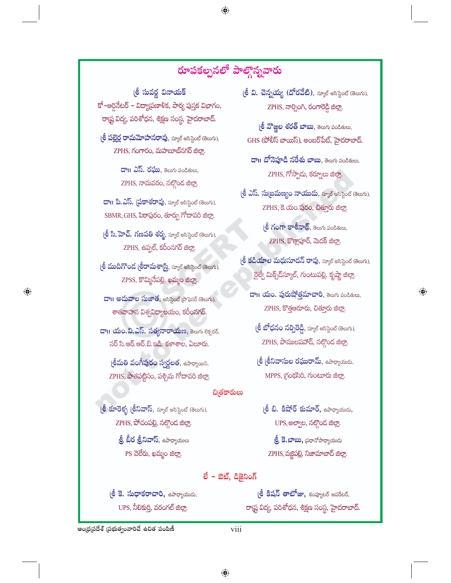# <mark>రూపక</mark>ల్పనలో పాల్గొన్నవారు

 $\bigoplus$ 

(శీ సువర్ణ వినాయక్ కో–ఆర్ధినేటర్ – విద్యాపణాళిక, పాఠ్య పుస్తక విభాగం, రాష్ట్ర విద్య, పరిశోధన, శిక్షణ సంస్థ, హైదరాబాద్.

(లీ పల్లైర్ల రామమోహనరావు, స్మూల్ అసిస్టెంట్ (తెలుగు), ZPHS, గంగారం, మహబూబ్నగర్ జిల్లా.

> **దా !! ఎస్. రఘు**, తెలుగు పండితులు, ZPHS, నామవరం, నల్గొంద జిల్లా.

డా॥ పి.ఎస్. ప్రకాశరావు, స్మూల్ అసిస్టెంట్ (తెలుగు), SBMR, GHS, పిఠాపురం, తూర్పు గోదావరి జిల్లా.

(లీ సి. హెచ్. గణపతి శర్మ, స్మూల్ అసిస్టెంట్ (తెలుగు), ZPHS, ఉప్పల్, కరీంనగర్ జిల్లా.

(లీ ముదిగొండ (లీరామశార్ష్మి, స్మూల్ అసిస్టెంట్ (తెలుగు), ZPSS, కొమ్మినేపల్లి, ఖమ్మం జిల్లా.

<mark>దా। అదువాల సుజాత</mark>, అసిస్టెంట్ ప్రొఫెసర్ (తెలుగు), శాతవాహన విశ్వవిద్యాలయం, కరీంనగర్.

 $\bigoplus$ 

 $\overline{\mathbf{c}}$ ం బాం.వి.ఎస్. సత్యనారాయణ, శెలుగు లెక్చరర్, సర్ సి.ఆర్.ఆర్.బి.ఇది. కళాశాల, ఏలూరు.

(<mark>లీమతి వంగీపురం స్వర్ణలత</mark>, ఉపాధ్యాయిని, ZPHS, పాతపట్టిసం, పశ్చిమ గోదావరి జిల్లా.

(లీ కూరె<mark>క్భ (లీనివాస్</mark>, స్మూల్ అసిస్టెంట్ (తెలుగు), ZPHS, పోచంపల్లి, నల్గొంద జిల్లా

> **ల్రీ బీర త్రీనివాస్**, ఉపాధ్యాయులు PS వెలేరు, ఖమ్మం జిల్లా.

(శీ వి. చెన్నయ్య (దోరవేటి), స్మూల్ అసిస్టెంట్ (తెలుగు), ZPHS, నార్సింగి, రంగారెడ్డి జిల్లా.

(ஜீ ஜுஜ் ஜீச் ஜூலை, கலை ல்க்கீஸ்,  $GHS$  (పోలీస్ బాయిస్), అంబర్ పేట్, హైదరాబాద్.

డా।। దోనెపూడి నరేశు బాబు, తెలుగు పండితులు,  $ZPHS, \hbox{${\cal F}\!\!\!\!$}$ ్పాడు, కర్నూలు జిల్లా.

(శీ ఎస్. సుబ్రమణ్యం నాయుడు, స్మూల్ అసిస్టెంట్ (తెలుగు), ZPHS, కె. యం. ఫురం, చితూరు జిల్లా.

> (శీ గంగా కాశీనాథ్, శెలుగు పండితులు, ZPHS, కొత్తాపూర్, మెదక్ జిలా.

 $e^{\frac{\xi}{2}}$  కడియాల మధుసూదన్ రావు, స్మూల్ అసిస్టెంట్ (తెలుగు), రైల్వే మిక్స్*డ్*స్మూల్, గుంటుపల్లి, కృష్ణా జిల్లా.

ZPHS, కొత్తఅరూరు, చిత్తూరు జిల్లా.

 $\bigoplus$ 

- **్రీ బోధనం నర్సిరెడ్డి**, స్మూల్ అసిస్టెంట్ (తెలుగు), ZPHS, పాములపహాడ్, నల్గొండ జిల్లా.
- (**లీ (లీనివాసుల రఘురామ్**, ఉపాధ్యాయుడు, MPPS, [රංශීංරි, గుంటూరు జిల్లా.

### చిత్రకారులు

(ஜீ ඞி. కిషోర్ కుమార్, ఉపాధ్యాయుడు, UPS, అల్వాల, నల్గొండ జిల్లా.

**బ్రీ కె.బాబు,** ద్రధానోపాధ్యాయుడు ZPHS, వజ్జిపల్లి, నిజామాబాద్ జిల్లా.

### ಲೆ – ಪಿಟ್, ಷಿಷ್ಪನಿಂಗಿ

(శీ కె. సుధాకరాచారి, ఉపాధ్యాయుడు, UPS, నీలికుర్తి, వరంగల్ జిల్లా.

(లీ కిషన్ తాటోజు, కంహ్యటర్ అపరేటర్, రాష్ట్ర విద్య, పరిశోధన, శిక్షణ సంస్థ, హైదరాబాద్.

ఆంధ్రప్రదేశ్ (పభుత్వంవారిచే ఉచిత పంపిణీ

viii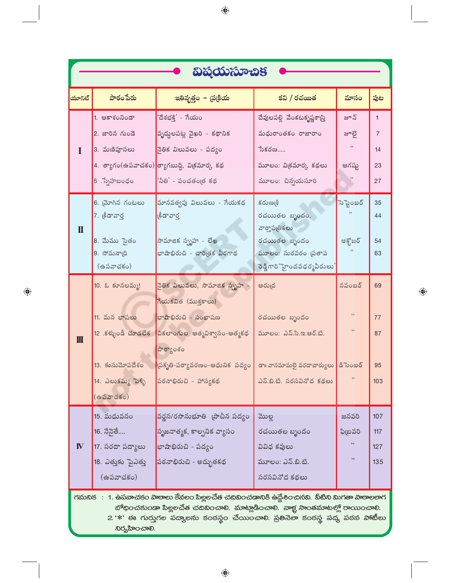| విషయసూచిక                                                                                    |                                                       |                                                            |                                                   |            |                |  |
|----------------------------------------------------------------------------------------------|-------------------------------------------------------|------------------------------------------------------------|---------------------------------------------------|------------|----------------|--|
| యూనిట్                                                                                       | పాఠంపేరు                                              | ఇతివృత్తం – చ్రక్రియ                                       | కవి / రచయిత                                       | మాసం       | పుట            |  |
|                                                                                              | 1. ఆకాశంనిండా                                         | 'దేశభక్తి' - గేయం                                          | దేవులపల్లి వేంకటకృష్ణశాస్ర్                       | జూన్       | $\mathbf{1}$   |  |
|                                                                                              | 2. జారిన గుండె                                        | వృద్దలపట్ల వైఖరి - కథానిక                                  | మధురాంతకం రాజారాం                                 | జూలై       | $\overline{7}$ |  |
|                                                                                              | 3. మణిపూసలు                                           | నైతిక విలువలు - పద్యం                                      | $\sim$ อ้งออ                                      | , ,        | 14             |  |
|                                                                                              |                                                       | 4. త్యాగం(ఉపవాచకం) <mark>త్యాగబుద్ధి, విక్రమార్క కథ</mark> | మూలం: వి(కమార్క కథలు                              | ఆగష్ట      | 23             |  |
|                                                                                              | 5 . స్నేహబంధం                                         | 'నీతి' - పంచతంౖత కథ                                        | మూలం: చిన్నయసూరి                                  |            | 27             |  |
|                                                                                              | 6. మోగిన గంటలు                                        | మానవత్వపు విలువలు - గేయకథ                                  | కరుణ్మశీ                                          | సెప్టెంబర్ | 35             |  |
|                                                                                              | 7. క్రీడావార్త                                        | (§ీడావార్త                                                 | రచయితల బృందం,                                     |            | 44             |  |
| $\mathbf I$                                                                                  | 8. మేము సైతం                                          | సామాజిక స్ఫృహ - లేఖ                                        | వార్తాపఱికలు<br>రచయితల బృందం                      | అక్టోబర్   | 54             |  |
|                                                                                              | 9. సోమనా(ది                                           | భాషాభిరుచి - చారిత్రక వీరగాథ                               | మూలం: సురవరం (పతాప                                |            | 63             |  |
|                                                                                              | (ఉపవాచకం)                                             |                                                            | ెండ్డిగారి `హైందవధర్మవీరులు' <mark> </mark>       |            |                |  |
|                                                                                              | 10. ఓ కూనలమ్మ!                                        | నైతిక విలువలు, సామాజిక స్పృహ -                             | ఆరు(ద                                             | నవంబర్     | 69             |  |
|                                                                                              |                                                       | గేయకవిత (ముక్తకాలు)                                        |                                                   |            |                |  |
|                                                                                              | 11. మన భాషలు                                          | భాషాభిరుచి - సంభాషణ                                        | రచయితల బృందం                                      | $, ,$      | 77             |  |
| $\mathbf{m}$                                                                                 |                                                       | 12 .కళ్ళుండీ చూడలేక నికలాంగుల ఆత్మవిశ్వాసం-ఆత్మకథ          | మూలం: ఎన్.సి.ఇ.ఆర్.టి.                            |            | 87             |  |
|                                                                                              |                                                       | పాఠ్యాంశం                                                  |                                                   |            |                |  |
|                                                                                              | 13. కుసుమోపదేశం                                       | $\,$ బ్రకృతి-పర్యావరణం-ఆధునిక పద్యం $\,$                   | డా॥ వానమామలై వరదాచార్యులు <mark> </mark> డిసెంబర్ |            | 95             |  |
|                                                                                              | 14. ఎలుకమ్మ పెళ్ళి                                    | పఠనాభిరుచి - హాస్యకథ                                       | ఎన్.బి.టి. సరసవినోద కథలు                          | $, ,$      | 103            |  |
|                                                                                              | $(a\ddot{\omega} \text{ar} \breve{\omega} \text{so})$ |                                                            |                                                   |            |                |  |
|                                                                                              | 15. మధువనం                                            | వర్ణన/రసానుభూతి బ్రాచీన పద్యం                              | ಮುಲ್ಲ                                             | జనవరి      | 107            |  |
|                                                                                              | 16. నేనైతే                                            | సృజనాత్మక, కాల్పనిక వ్యాసం                                 | రచయితల బృందం                                      | ఫిబ్రవరి   | 117            |  |
| $\mathbf{I}$                                                                                 | 17. సరదా పద్యాలు                                      | బాషాభిరుచి - పద్యం                                         | వివిధ కవులు                                       | ,,         | 127            |  |
|                                                                                              | 18. ఎత్తుకు పైఎత్తు                                   | పఠనాభిరుచి - అద్భుతకథ                                      | మూలం: ఎన్.బి.టి.                                  | ,,         | 135            |  |
|                                                                                              | (ఉపవాచకం)                                             |                                                            | సరసవినోద కథలు                                     |            |                |  |
| గమనిక : 1. ఉపవాచకం పాఠాలు కేవలం పిల్లలచేత చదివించడానికి ఉద్దేశించినవి. వీటిని మిగతా పాఠాలలాగ |                                                       |                                                            |                                                   |            |                |  |
| బోథించకుండా పిల్లలచేత చదివించాలి. మాట్లాడించాలి. వాక్ట సాంతమాటల్లో రాయించాలి.                |                                                       |                                                            |                                                   |            |                |  |

 $\bigoplus$ 

 $2.$  \*' ఈ గుర్తుగల పద్యాలను కంఠస్థం చేయించాలి. ప్రతినెలా కంఠస్థ పద్య పఠన పాటీలు ನಿರ್<sub>ಯ</sub>ವಾಂ-ಪಾಲಿ.

 $\bigoplus$